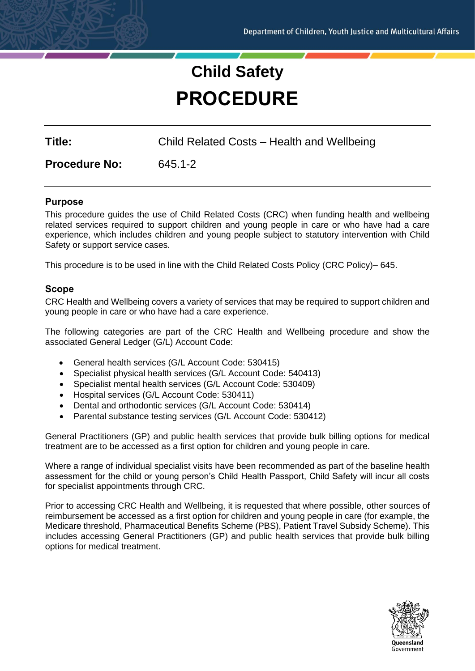# **Child Safety PROCEDURE**

**Title:** Child Related Costs – Health and Wellbeing

**Procedure No:** 645.1-2

# **Purpose**

This procedure guides the use of Child Related Costs (CRC) when funding health and wellbeing related services required to support children and young people in care or who have had a care experience, which includes children and young people subject to statutory intervention with Child Safety or support service cases.

This procedure is to be used in line with the Child Related Costs Policy (CRC Policy)– 645.

# **Scope**

CRC Health and Wellbeing covers a variety of services that may be required to support children and young people in care or who have had a care experience.

The following categories are part of the CRC Health and Wellbeing procedure and show the associated General Ledger (G/L) Account Code:

- General health services (G/L Account Code: 530415)
- Specialist physical health services (G/L Account Code: 540413)
- Specialist mental health services (G/L Account Code: 530409)
- Hospital services (G/L Account Code: 530411)
- Dental and orthodontic services (G/L Account Code: 530414)
- Parental substance testing services (G/L Account Code: 530412)

General Practitioners (GP) and public health services that provide bulk billing options for medical treatment are to be accessed as a first option for children and young people in care.

Where a range of individual specialist visits have been recommended as part of the baseline health assessment for the child or young person's Child Health Passport, Child Safety will incur all costs for specialist appointments through CRC.

Prior to accessing CRC Health and Wellbeing, it is requested that where possible, other sources of reimbursement be accessed as a first option for children and young people in care (for example, the Medicare threshold, Pharmaceutical Benefits Scheme (PBS), Patient Travel Subsidy Scheme). This includes accessing General Practitioners (GP) and public health services that provide bulk billing options for medical treatment.

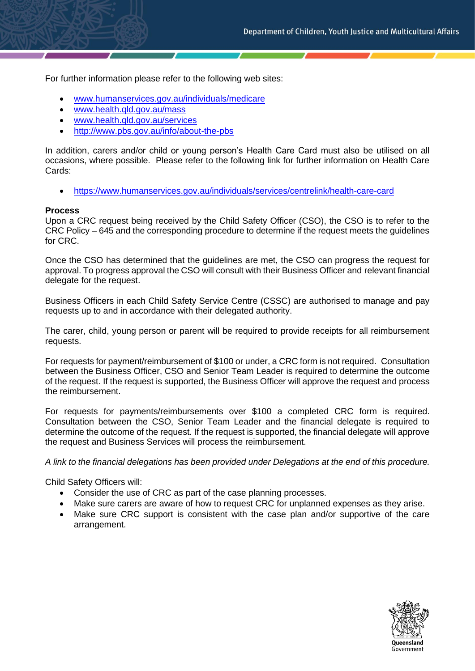For further information please refer to the following web sites:

- [www.humanservices.gov.au/individuals/medicare](http://www.humanservices.gov.au/individuals/medicare)
- [www.health.qld.gov.au/mass](http://www.health.qld.gov.au/mass)
- [www.health.qld.gov.au/services](http://www.health.qld.gov.au/services)
- <http://www.pbs.gov.au/info/about-the-pbs>

In addition, carers and/or child or young person's Health Care Card must also be utilised on all occasions, where possible. Please refer to the following link for further information on Health Care Cards:

• <https://www.humanservices.gov.au/individuals/services/centrelink/health-care-card>

#### **Process**

Upon a CRC request being received by the Child Safety Officer (CSO), the CSO is to refer to the CRC Policy – 645 and the corresponding procedure to determine if the request meets the guidelines for CRC.

Once the CSO has determined that the guidelines are met, the CSO can progress the request for approval. To progress approval the CSO will consult with their Business Officer and relevant financial delegate for the request.

Business Officers in each Child Safety Service Centre (CSSC) are authorised to manage and pay requests up to and in accordance with their delegated authority.

The carer, child, young person or parent will be required to provide receipts for all reimbursement requests.

For requests for payment/reimbursement of \$100 or under, a CRC form is not required. Consultation between the Business Officer, CSO and Senior Team Leader is required to determine the outcome of the request. If the request is supported, the Business Officer will approve the request and process the reimbursement.

For requests for payments/reimbursements over \$100 a completed CRC form is required. Consultation between the CSO, Senior Team Leader and the financial delegate is required to determine the outcome of the request. If the request is supported, the financial delegate will approve the request and Business Services will process the reimbursement.

*A link to the financial delegations has been provided under Delegations at the end of this procedure.*

Child Safety Officers will:

- Consider the use of CRC as part of the case planning processes.
- Make sure carers are aware of how to request CRC for unplanned expenses as they arise.
- Make sure CRC support is consistent with the case plan and/or supportive of the care arrangement.

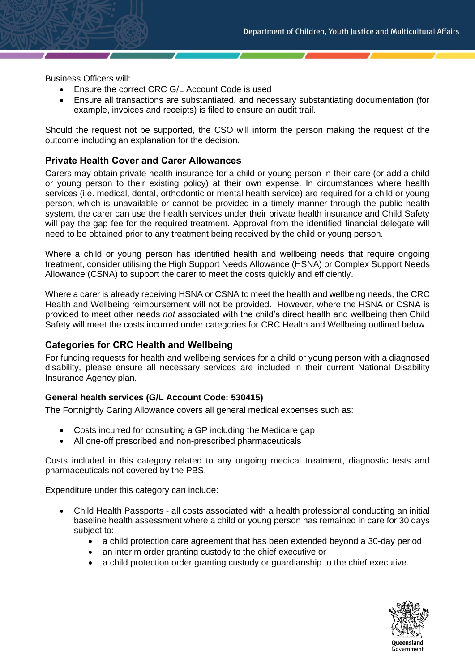Business Officers will:

- Ensure the correct CRC G/L Account Code is used
- Ensure all transactions are substantiated, and necessary substantiating documentation (for example, invoices and receipts) is filed to ensure an audit trail.

Should the request not be supported, the CSO will inform the person making the request of the outcome including an explanation for the decision.

# **Private Health Cover and Carer Allowances**

Carers may obtain private health insurance for a child or young person in their care (or add a child or young person to their existing policy) at their own expense. In circumstances where health services (i.e. medical, dental, orthodontic or mental health service) are required for a child or young person, which is unavailable or cannot be provided in a timely manner through the public health system, the carer can use the health services under their private health insurance and Child Safety will pay the gap fee for the required treatment. Approval from the identified financial delegate will need to be obtained prior to any treatment being received by the child or young person.

Where a child or young person has identified health and wellbeing needs that require ongoing treatment, consider utilising the High Support Needs Allowance (HSNA) or Complex Support Needs Allowance (CSNA) to support the carer to meet the costs quickly and efficiently.

Where a carer is already receiving HSNA or CSNA to meet the health and wellbeing needs, the CRC Health and Wellbeing reimbursement will not be provided. However, where the HSNA or CSNA is provided to meet other needs *not* associated with the child's direct health and wellbeing then Child Safety will meet the costs incurred under categories for CRC Health and Wellbeing outlined below.

# **Categories for CRC Health and Wellbeing**

For funding requests for health and wellbeing services for a child or young person with a diagnosed disability, please ensure all necessary services are included in their current National Disability Insurance Agency plan.

# **General health services (G/L Account Code: 530415)**

The Fortnightly Caring Allowance covers all general medical expenses such as:

- Costs incurred for consulting a GP including the Medicare gap
- All one-off prescribed and non-prescribed pharmaceuticals

Costs included in this category related to any ongoing medical treatment, diagnostic tests and pharmaceuticals not covered by the PBS.

Expenditure under this category can include:

- Child Health Passports all costs associated with a health professional conducting an initial baseline health assessment where a child or young person has remained in care for 30 days subject to:
	- a child protection care agreement that has been extended beyond a 30-day period
	- an interim order granting custody to the chief executive or
	- a child protection order granting custody or guardianship to the chief executive.

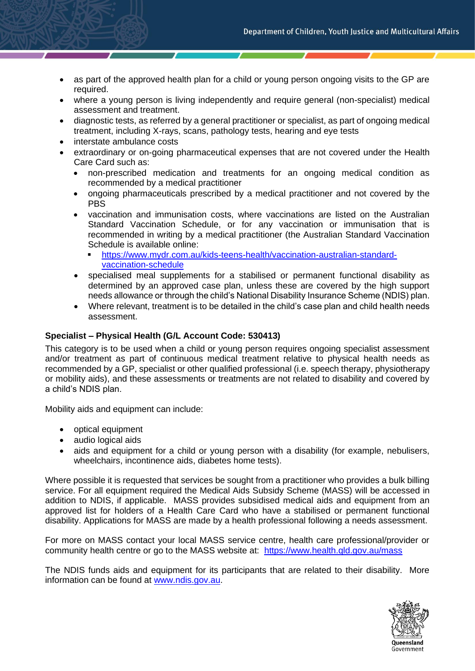- as part of the approved health plan for a child or young person ongoing visits to the GP are required.
- where a young person is living independently and require general (non-specialist) medical assessment and treatment.
- diagnostic tests, as referred by a general practitioner or specialist, as part of ongoing medical treatment, including X-rays, scans, pathology tests, hearing and eye tests
- interstate ambulance costs
- extraordinary or on-going pharmaceutical expenses that are not covered under the Health Care Card such as:
	- non-prescribed medication and treatments for an ongoing medical condition as recommended by a medical practitioner
	- ongoing pharmaceuticals prescribed by a medical practitioner and not covered by the PBS
	- vaccination and immunisation costs, where vaccinations are listed on the Australian Standard Vaccination Schedule, or for any vaccination or immunisation that is recommended in writing by a medical practitioner (the Australian Standard Vaccination Schedule is available online:
		- [https://www.mydr.com.au/kids-teens-health/vaccination-australian-standard](https://www.mydr.com.au/kids-teens-health/vaccination-australian-standard-vaccination-schedule)[vaccination-schedule](https://www.mydr.com.au/kids-teens-health/vaccination-australian-standard-vaccination-schedule)
	- specialised meal supplements for a stabilised or permanent functional disability as determined by an approved case plan, unless these are covered by the high support needs allowance or through the child's National Disability Insurance Scheme (NDIS) plan.
	- Where relevant, treatment is to be detailed in the child's case plan and child health needs assessment.

# **Specialist – Physical Health (G/L Account Code: 530413)**

This category is to be used when a child or young person requires ongoing specialist assessment and/or treatment as part of continuous medical treatment relative to physical health needs as recommended by a GP, specialist or other qualified professional (i.e. speech therapy, physiotherapy or mobility aids), and these assessments or treatments are not related to disability and covered by a child's NDIS plan.

Mobility aids and equipment can include:

- optical equipment
- audio logical aids
- aids and equipment for a child or young person with a disability (for example, nebulisers, wheelchairs, incontinence aids, diabetes home tests).

Where possible it is requested that services be sought from a practitioner who provides a bulk billing service. For all equipment required the Medical Aids Subsidy Scheme (MASS) will be accessed in addition to NDIS, if applicable. MASS provides subsidised medical aids and equipment from an approved list for holders of a Health Care Card who have a stabilised or permanent functional disability. Applications for MASS are made by a health professional following a needs assessment.

For more on MASS contact your local MASS service centre, health care professional/provider or community health centre or go to the MASS website at: https://www.health.qld.gov.au/mass

The NDIS funds aids and equipment for its participants that are related to their disability. More information can be found at [www.ndis.gov.au.](http://www.ndis.gov.au/)

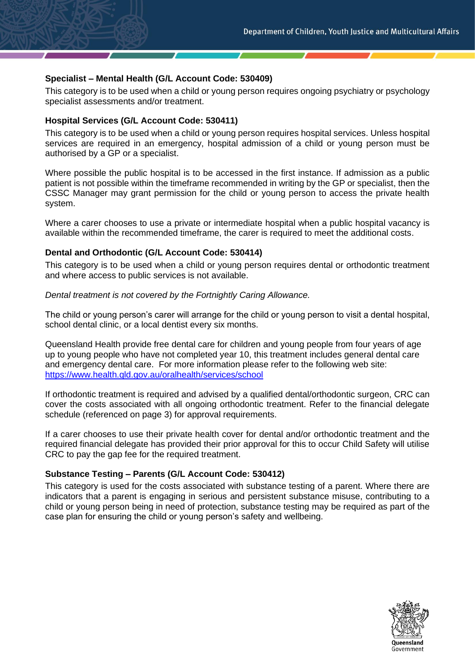### **Specialist – Mental Health (G/L Account Code: 530409)**

This category is to be used when a child or young person requires ongoing psychiatry or psychology specialist assessments and/or treatment.

#### **Hospital Services (G/L Account Code: 530411)**

This category is to be used when a child or young person requires hospital services. Unless hospital services are required in an emergency, hospital admission of a child or young person must be authorised by a GP or a specialist.

Where possible the public hospital is to be accessed in the first instance. If admission as a public patient is not possible within the timeframe recommended in writing by the GP or specialist, then the CSSC Manager may grant permission for the child or young person to access the private health system.

Where a carer chooses to use a private or intermediate hospital when a public hospital vacancy is available within the recommended timeframe, the carer is required to meet the additional costs.

#### **Dental and Orthodontic (G/L Account Code: 530414)**

This category is to be used when a child or young person requires dental or orthodontic treatment and where access to public services is not available.

*Dental treatment is not covered by the Fortnightly Caring Allowance.*

The child or young person's carer will arrange for the child or young person to visit a dental hospital, school dental clinic, or a local dentist every six months.

Queensland Health provide free dental care for children and young people from four years of age up to young people who have not completed year 10, this treatment includes general dental care and emergency dental care. For more information please refer to the following web site: <https://www.health.qld.gov.au/oralhealth/services/school>

If orthodontic treatment is required and advised by a qualified dental/orthodontic surgeon, CRC can cover the costs associated with all ongoing orthodontic treatment. Refer to the financial delegate schedule (referenced on page 3) for approval requirements.

If a carer chooses to use their private health cover for dental and/or orthodontic treatment and the required financial delegate has provided their prior approval for this to occur Child Safety will utilise CRC to pay the gap fee for the required treatment.

# **Substance Testing – Parents (G/L Account Code: 530412)**

This category is used for the costs associated with substance testing of a parent. Where there are indicators that a parent is engaging in serious and persistent substance misuse, contributing to a child or young person being in need of protection, substance testing may be required as part of the case plan for ensuring the child or young person's safety and wellbeing.

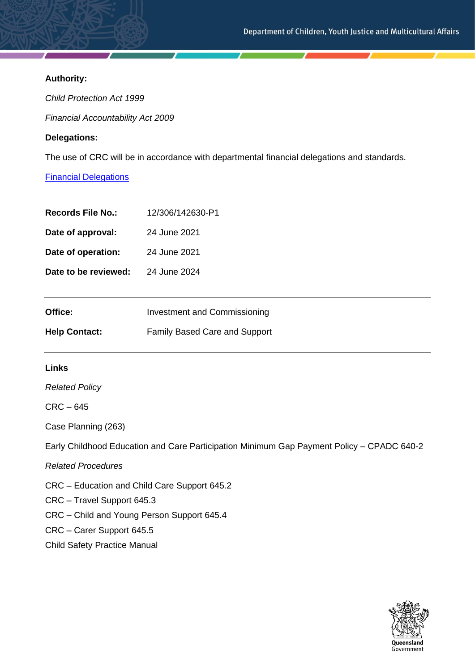# **Authority:**

*Child Protection Act 1999*

*Financial Accountability Act 2009*

# **Delegations:**

The use of CRC will be in accordance with departmental financial delegations and standards.

# [Financial Delegations](https://cyjmaintranet.root.internal/finance-procurement/financial-delegations)

| <b>Records File No.:</b> | 12/306/142630-P1                    |
|--------------------------|-------------------------------------|
| Date of approval:        | 24 June 2021                        |
| Date of operation:       | 24 June 2021                        |
| Date to be reviewed:     | 24 June 2024                        |
|                          |                                     |
| Office:                  | <b>Investment and Commissioning</b> |
| <b>Help Contact:</b>     | Family Based Care and Support       |
|                          |                                     |

# **Links**

*Related Policy*

CRC – 645

Case Planning (263)

Early Childhood Education and Care Participation Minimum Gap Payment Policy – CPADC 640-2

*Related Procedures*

CRC – Education and Child Care Support 645.2

CRC – Travel Support 645.3

CRC – Child and Young Person Support 645.4

CRC – Carer Support 645.5

Child Safety Practice Manual